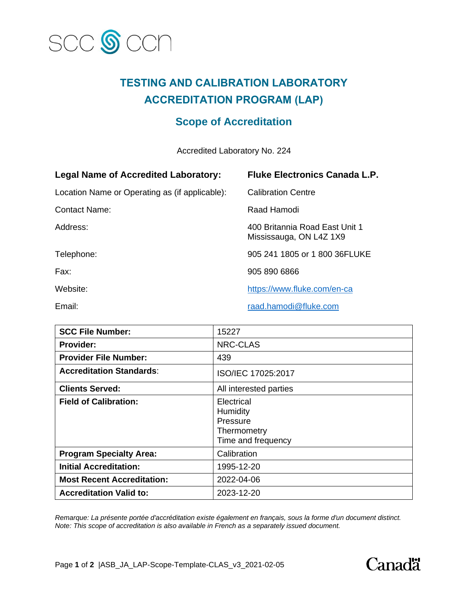

## **TESTING AND CALIBRATION LABORATORY ACCREDITATION PROGRAM (LAP)**

## **Scope of Accreditation**

Accredited Laboratory No. 224

| <b>Legal Name of Accredited Laboratory:</b>    | <b>Fluke Electronics Canada L.P.</b>                      |
|------------------------------------------------|-----------------------------------------------------------|
| Location Name or Operating as (if applicable): | <b>Calibration Centre</b>                                 |
| Contact Name:                                  | Raad Hamodi                                               |
| Address:                                       | 400 Britannia Road East Unit 1<br>Mississauga, ON L4Z 1X9 |
| Telephone:                                     | 905 241 1805 or 1 800 36FLUKE                             |
| Fax:                                           | 905 890 6866                                              |
| Website:                                       | https://www.fluke.com/en-ca                               |
| Email:                                         | raad.hamodi@fluke.com                                     |

| <b>SCC File Number:</b>           | 15227                                                                   |
|-----------------------------------|-------------------------------------------------------------------------|
| <b>Provider:</b>                  | NRC-CLAS                                                                |
| <b>Provider File Number:</b>      | 439                                                                     |
| <b>Accreditation Standards:</b>   | ISO/IEC 17025:2017                                                      |
| <b>Clients Served:</b>            | All interested parties                                                  |
| <b>Field of Calibration:</b>      | Electrical<br>Humidity<br>Pressure<br>Thermometry<br>Time and frequency |
| <b>Program Specialty Area:</b>    | Calibration                                                             |
| <b>Initial Accreditation:</b>     | 1995-12-20                                                              |
| <b>Most Recent Accreditation:</b> | 2022-04-06                                                              |
| <b>Accreditation Valid to:</b>    | 2023-12-20                                                              |

*Remarque: La présente portée d'accréditation existe également en français, sous la forme d'un document distinct. Note: This scope of accreditation is also available in French as a separately issued document.*

Page **1** of **2** |ASB\_JA\_LAP-Scope-Template-CLAS\_v3\_2021-02-05